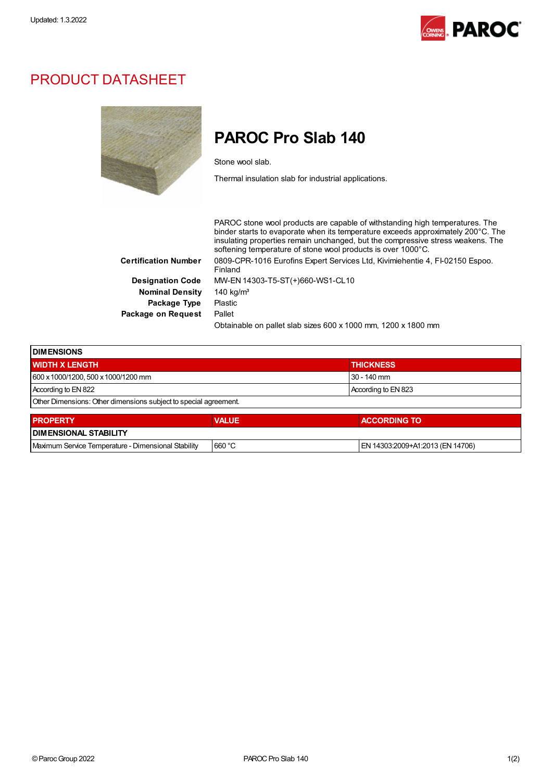

## PRODUCT DATASHEET



## PAROC Pro Slab 140

Stone wool slab.

Thermal insulation slab for industrial applications.

PAROC stone wool products are capable of withstanding high temperatures. The binder starts to evaporate when its temperature exceeds approximately 200°C. The insulating properties remain unchanged, but the compressive stress weakens. The softening temperature of stone wool products is over 1000°C. Certification Number 0809-CPR-1016 Eurofins Expert Services Ltd, Kivimiehentie 4, FI-02150 Espoo. Finland Designation Code MW-EN 14303-T5-ST(+)660-WS1-CL10 Nominal Density 140 kg/m<sup>3</sup> Package Type Plastic Package on Request Pallet Obtainable on pallet slab sizes 600 x 1000 mm, 1200 x 1800 mm

| <b>DIMENSIONS</b>                                                |              |                     |  |  |
|------------------------------------------------------------------|--------------|---------------------|--|--|
| <b>WIDTH X LENGTH</b>                                            |              | <b>THICKNESS</b>    |  |  |
| 600 x 1000/1200, 500 x 1000/1200 mm                              |              | $30 - 140$ mm       |  |  |
| According to EN 822                                              |              | According to EN 823 |  |  |
| Other Dimensions: Other dimensions subject to special agreement. |              |                     |  |  |
| <b>PROPERTY</b>                                                  | <b>VALUE</b> | <b>ACCORDING TO</b> |  |  |
| <b>DIMENSIONAL STABILITY</b>                                     |              |                     |  |  |

Maximum Service Temperature - Dimensional Stability  $\begin{bmatrix} 660 °C \end{bmatrix}$  660 °C EN 14303:2009+A1:2013 (EN 14706)